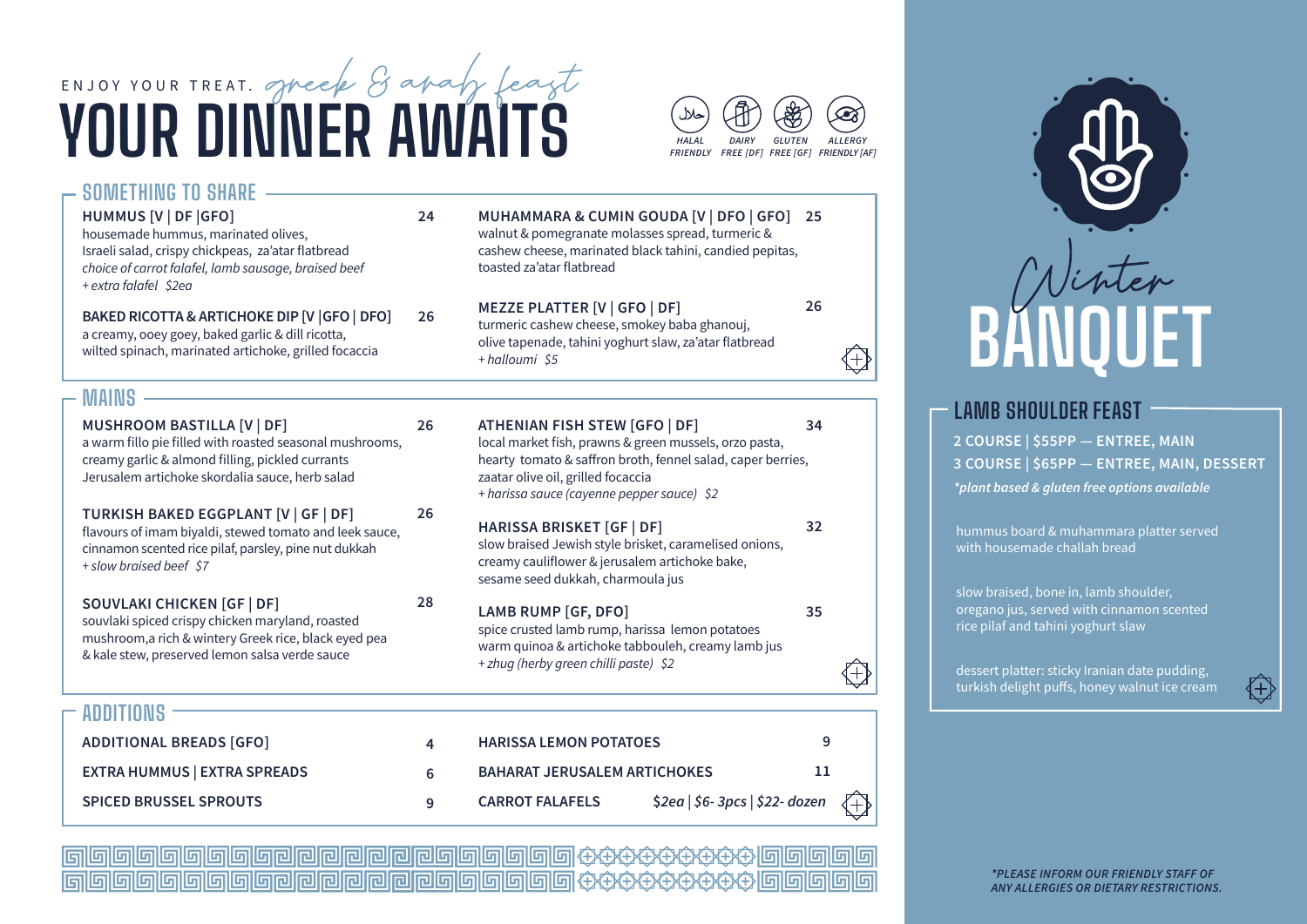



 $26$ 

34

32

35

 $\mathbf{q}$ 

 $11$ 

 $S2ea$  |  $S6-3pcs$  |  $S22-dozen$ 

 $(+)$ 

#### SOMETHING TO SHARE - $24$ **HUMMUS [V | DF | GFO]** housemade hummus, marinated olives.

Israeli salad, crispy chickpeas, za'atar flatbread choice of carrot falafel, lamb sausage, braised beef + extra falafel \$2ea

BAKED RICOTTA & ARTICHOKE DIP [V GFO | DFO] a creamy, ooey goey, baked garlic & dill ricotta. wilted spinach, marinated artichoke, grilled focaccia

# toasted za'atar flatbread **MEZZE PLATTER [V | GFO | DF]**

**ATHENIAN FISH STEW [GFO | DF]** 

+ harissa sauce (cayenne pepper sauce) \$2

zaatar olive oil, grilled focaccia

**HARISSA LEMON POTATOES** 

**CARROT FAI AFFIS** 

**BAHARAT JERUSALEM ARTICHOKES** 

walnut & pomegranate molasses spread, turmeric &

cashew cheese, marinated black tahini, candied pepitas,

MUHAMMARA & CUMIN GOUDA [V | DFO | GFO] 25



# **LAMR SHOULDER FFAST**

2 COURSE | \$55PP - ENTREE, MAIN 3 COURSE | \$65PP - ENTREE, MAIN, DESSERT \*plant based & aluten free options available

hummus board & muhammara platter served with housemade challah bread

slow braised, bone in, lamb shoulder, oregano jus, served with cinnamon scented rice pilaf and tahini yoghurt slaw

dessert platter: sticky Iranian date pudding, turkish delight puffs, honey walnut ice cream

\*PI FASE INFORM OUR FRIENDIY STAFF OF

ANY ALLERGIES OR DIETARY RESTRICTIONS.

| $\tilde{\phantom{a}}$ |  |
|-----------------------|--|
|                       |  |
|                       |  |
|                       |  |

 $26$ 

26

28

 $\blacktriangle$ 

6

 $\mathbf{q}$ 

+ halloumi \$5

turmeric cashew cheese, smokey baba ghanouj, olive tapenade, tahini yoghurt slaw, za'atar flatbread

#### $MAINS -$

**ADDITIONS** 

**ADDITIONAL BREADS [GFO]** 

**SPICED BRUSSEL SPROUTS** 

**EXTRA HUMMUS | EXTRA SPREADS** 

**MUSHROOM BASTILLA [V | DF]** a warm fillo pie filled with roasted seasonal mushrooms, creamy garlic & almond filling, pickled currants Jerusalem artichoke skordalja sauce, herb salad

 $26$ TURKISH BAKED EGGPLANT [V | GF | DF] flavours of imam bivaldi, stewed tomato and leek sauce. cinnamon scented rice pilaf, parsley, pine nut dukkah + slow braised beef \$7

SOUVLAKI CHICKEN [GF | DF] souvlaki spiced crispy chicken maryland, roasted mushroom, a rich & wintery Greek rice, black eved pea & kale stew, preserved lemon salsa verde sauce

**HARISSA BRISKET [GF | DF]** slow braised Jewish style brisket, caramelised onions. creamy cauliflower & jerusalem artichoke bake, sesame seed dukkah, charmoula jus

local market fish, prawns & green mussels, orzo pasta,

hearty tomato & saffron broth, fennel salad, caper berries.

**LAMB RUMP [GF, DFO]** spice crusted lamb rump, harissa lemon potatoes warm quinoa & artichoke tabbouleh, creamy lamb jus + zhug (herby green chilli paste) \$2